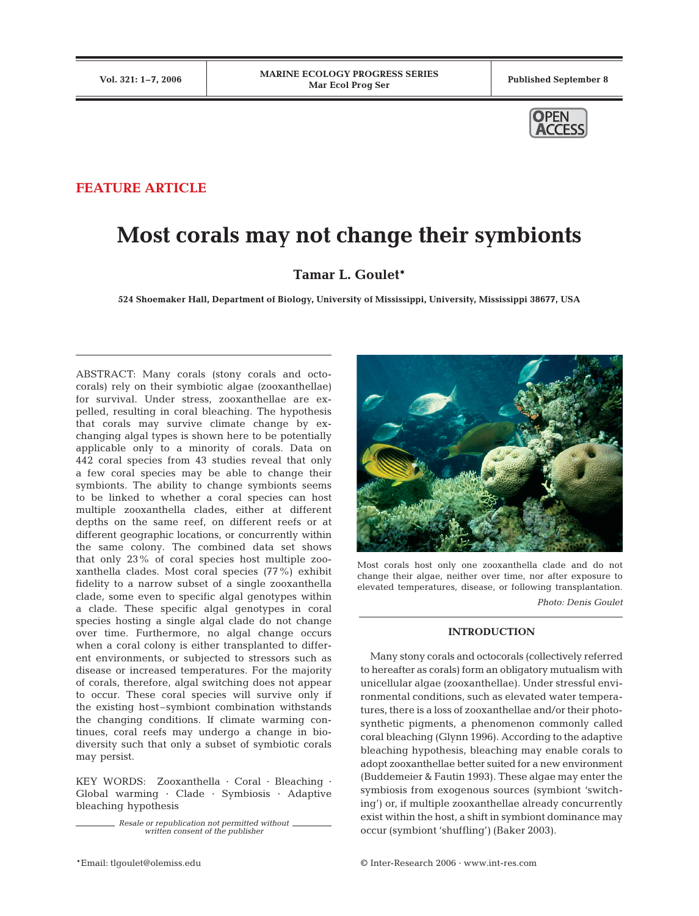

## **FEATURE ARTICLE**

# **Most corals may not change their symbionts**

# **Tamar L. Goulet\***

**524 Shoemaker Hall, Department of Biology, University of Mississippi, University, Mississippi 38677, USA**

ABSTRACT: Many corals (stony corals and octocorals) rely on their symbiotic algae (zooxanthellae) for survival. Under stress, zooxanthellae are expelled, resulting in coral bleaching. The hypothesis that corals may survive climate change by exchanging algal types is shown here to be potentially applicable only to a minority of corals. Data on 442 coral species from 43 studies reveal that only a few coral species may be able to change their symbionts. The ability to change symbionts seems to be linked to whether a coral species can host multiple zooxanthella clades, either at different depths on the same reef, on different reefs or at different geographic locations, or concurrently within the same colony. The combined data set shows that only 23% of coral species host multiple zooxanthella clades. Most coral species (77%) exhibit fidelity to a narrow subset of a single zooxanthella clade, some even to specific algal genotypes within a clade. These specific algal genotypes in coral species hosting a single algal clade do not change over time. Furthermore, no algal change occurs when a coral colony is either transplanted to different environments, or subjected to stressors such as disease or increased temperatures. For the majority of corals, therefore, algal switching does not appear to occur. These coral species will survive only if the existing host–symbiont combination withstands the changing conditions. If climate warming continues, coral reefs may undergo a change in biodiversity such that only a subset of symbiotic corals may persist.

KEY WORDS: Zooxanthella · Coral · Bleaching · Global warming · Clade · Symbiosis · Adaptive bleaching hypothesis

> *Resale or republication not permitted without written consent of the publisher*





Most corals host only one zooxanthella clade and do not change their algae, neither over time, nor after exposure to elevated temperatures, disease, or following transplantation.

*Photo: Denis Goulet*

### **INTRODUCTION**

Many stony corals and octocorals (collectively referred to hereafter as corals) form an obligatory mutualism with unicellular algae (zooxanthellae). Under stressful environmental conditions, such as elevated water temperatures, there is a loss of zooxanthellae and/or their photosynthetic pigments, a phenomenon commonly called coral bleaching (Glynn 1996). According to the adaptive bleaching hypothesis, bleaching may enable corals to adopt zooxanthellae better suited for a new environment (Buddemeier & Fautin 1993). These algae may enter the symbiosis from exogenous sources (symbiont 'switching') or, if multiple zooxanthellae already concurrently exist within the host, a shift in symbiont dominance may occur (symbiont 'shuffling') (Baker 2003).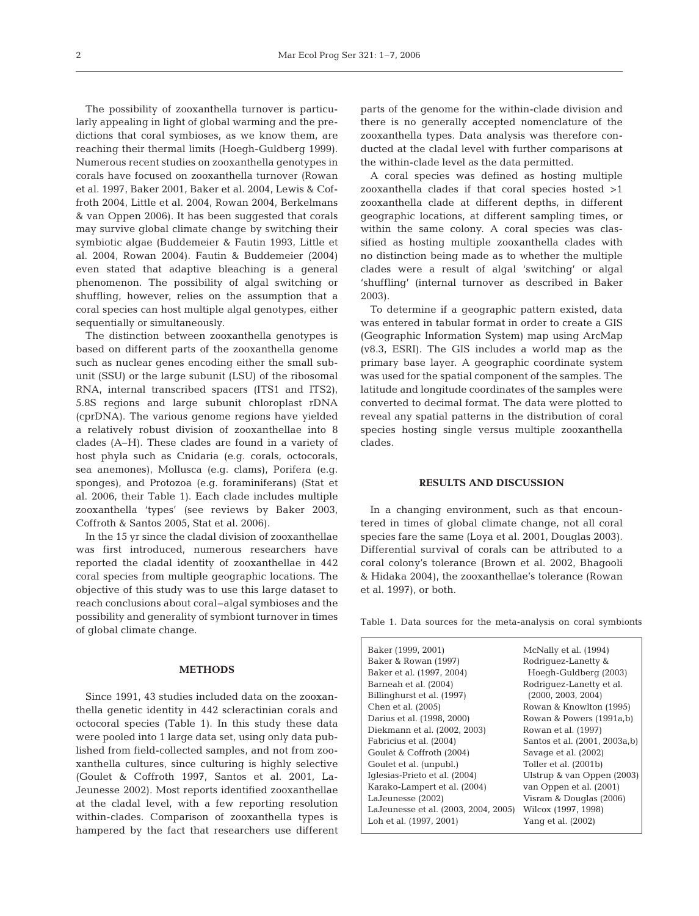The possibility of zooxanthella turnover is particularly appealing in light of global warming and the predictions that coral symbioses, as we know them, are reaching their thermal limits (Hoegh-Guldberg 1999). Numerous recent studies on zooxanthella genotypes in corals have focused on zooxanthella turnover (Rowan et al. 1997, Baker 2001, Baker et al. 2004, Lewis & Coffroth 2004, Little et al. 2004, Rowan 2004, Berkelmans & van Oppen 2006). It has been suggested that corals may survive global climate change by switching their symbiotic algae (Buddemeier & Fautin 1993, Little et al. 2004, Rowan 2004). Fautin & Buddemeier (2004) even stated that adaptive bleaching is a general phenomenon. The possibility of algal switching or shuffling, however, relies on the assumption that a coral species can host multiple algal genotypes, either sequentially or simultaneously.

The distinction between zooxanthella genotypes is based on different parts of the zooxanthella genome such as nuclear genes encoding either the small subunit (SSU) or the large subunit (LSU) of the ribosomal RNA, internal transcribed spacers (ITS1 and ITS2), 5.8S regions and large subunit chloroplast rDNA (cprDNA). The various genome regions have yielded a relatively robust division of zooxanthellae into 8 clades (A–H). These clades are found in a variety of host phyla such as Cnidaria (e.g. corals, octocorals, sea anemones), Mollusca (e.g. clams), Porifera (e.g. sponges), and Protozoa (e.g. foraminiferans) (Stat et al. 2006, their Table 1). Each clade includes multiple zooxanthella 'types' (see reviews by Baker 2003, Coffroth & Santos 2005, Stat et al. 2006).

In the 15 yr since the cladal division of zooxanthellae was first introduced, numerous researchers have reported the cladal identity of zooxanthellae in 442 coral species from multiple geographic locations. The objective of this study was to use this large dataset to reach conclusions about coral–algal symbioses and the possibility and generality of symbiont turnover in times of global climate change.

#### **METHODS**

Since 1991, 43 studies included data on the zooxanthella genetic identity in 442 scleractinian corals and octocoral species (Table 1). In this study these data were pooled into 1 large data set, using only data published from field-collected samples, and not from zooxanthella cultures, since culturing is highly selective (Goulet & Coffroth 1997, Santos et al. 2001, La-Jeunesse 2002). Most reports identified zooxanthellae at the cladal level, with a few reporting resolution within-clades. Comparison of zooxanthella types is hampered by the fact that researchers use different

parts of the genome for the within-clade division and there is no generally accepted nomenclature of the zooxanthella types. Data analysis was therefore conducted at the cladal level with further comparisons at the within-clade level as the data permitted.

A coral species was defined as hosting multiple zooxanthella clades if that coral species hosted >1 zooxanthella clade at different depths, in different geographic locations, at different sampling times, or within the same colony. A coral species was classified as hosting multiple zooxanthella clades with no distinction being made as to whether the multiple clades were a result of algal 'switching' or algal 'shuffling' (internal turnover as described in Baker 2003).

To determine if a geographic pattern existed, data was entered in tabular format in order to create a GIS (Geographic Information System) map using ArcMap (v8.3, ESRI). The GIS includes a world map as the primary base layer. A geographic coordinate system was used for the spatial component of the samples. The latitude and longitude coordinates of the samples were converted to decimal format. The data were plotted to reveal any spatial patterns in the distribution of coral species hosting single versus multiple zooxanthella clades.

#### **RESULTS AND DISCUSSION**

In a changing environment, such as that encountered in times of global climate change, not all coral species fare the same (Loya et al. 2001, Douglas 2003). Differential survival of corals can be attributed to a coral colony's tolerance (Brown et al. 2002, Bhagooli & Hidaka 2004), the zooxanthellae's tolerance (Rowan et al. 1997), or both.

Table 1. Data sources for the meta-analysis on coral symbionts

| Baker (1999, 2001)                   | McNally et al. (1994)         |
|--------------------------------------|-------------------------------|
| Baker & Rowan (1997)                 | Rodriquez-Lanetty &           |
| Baker et al. (1997, 2004)            | Hoegh-Guldberg (2003)         |
| Barneah et al. (2004)                | Rodriguez-Lanetty et al.      |
| Billinghurst et al. (1997)           | (2000, 2003, 2004)            |
| Chen et al. (2005)                   | Rowan & Knowlton (1995)       |
| Darius et al. (1998, 2000)           | Rowan & Powers (1991a,b)      |
| Diekmann et al. (2002, 2003)         | Rowan et al. (1997)           |
| Fabricius et al. (2004)              | Santos et al. (2001, 2003a,b) |
| Goulet & Coffroth (2004)             | Savage et al. (2002)          |
| Goulet et al. (unpubl.)              | Toller et al. (2001b)         |
| Iglesias-Prieto et al. (2004)        | Ulstrup & van Oppen (2003)    |
| Karako-Lampert et al. (2004)         | van Oppen et al. (2001)       |
| LaJeunesse (2002)                    | Visram & Douglas (2006)       |
| LaJeunesse et al. (2003, 2004, 2005) | Wilcox (1997, 1998)           |
| Loh et al. (1997, 2001)              | Yang et al. (2002)            |
|                                      |                               |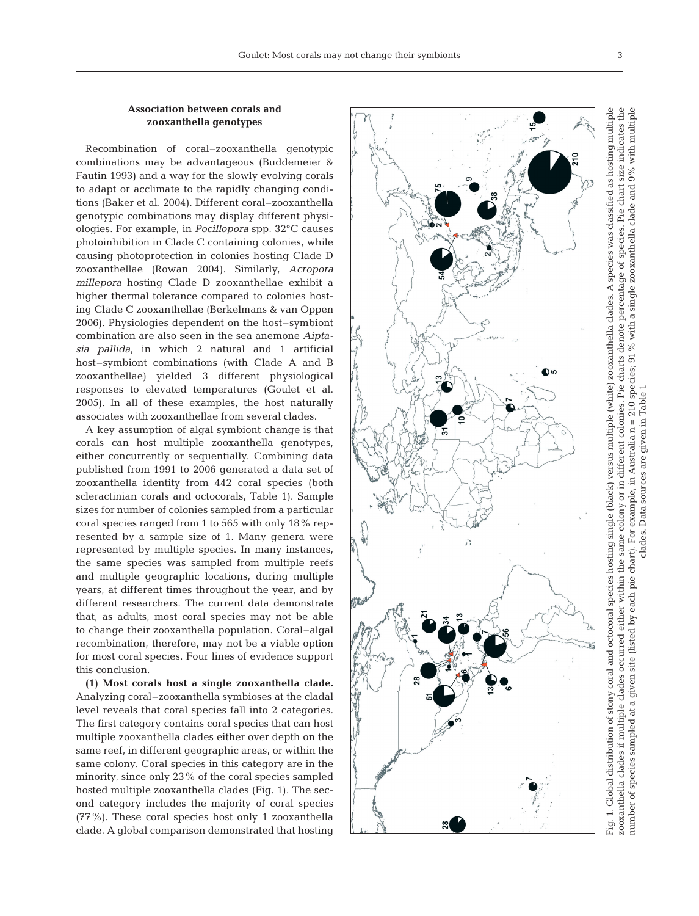## **Association between corals and zooxanthella genotypes**

Recombination of coral–zooxanthella genotypic combinations may be advantageous (Buddemeier & Fautin 1993) and a way for the slowly evolving corals to adapt or acclimate to the rapidly changing conditions (Baker et al. 2004). Different coral–zooxanthella genotypic combinations may display different physiologies. For example, in *Pocillopora* spp. 32°C causes photoinhibition in Clade C containing colonies, while causing photoprotection in colonies hosting Clade D zooxanthellae (Rowan 2004). Similarly, *Acropora millepora* hosting Clade D zooxanthellae exhibit a higher thermal tolerance compared to colonies hosting Clade C zooxanthellae (Berkelmans & van Oppen 2006). Physiologies dependent on the host–symbiont combination are also seen in the sea anemone *Aiptasia pallida*, in which 2 natural and 1 artificial host–symbiont combinations (with Clade A and B zooxanthellae) yielded 3 different physiological responses to elevated temperatures (Goulet et al. 2005). In all of these examples, the host naturally associates with zooxanthellae from several clades.

A key assumption of algal symbiont change is that corals can host multiple zooxanthella genotypes, either concurrently or sequentially. Combining data published from 1991 to 2006 generated a data set of zooxanthella identity from 442 coral species (both scleractinian corals and octocorals, Table 1). Sample sizes for number of colonies sampled from a particular coral species ranged from 1 to 565 with only 18% represented by a sample size of 1. Many genera were represented by multiple species. In many instances, the same species was sampled from multiple reefs and multiple geographic locations, during multiple years, at different times throughout the year, and by different researchers. The current data demonstrate that, as adults, most coral species may not be able to change their zooxanthella population. Coral–algal recombination, therefore, may not be a viable option for most coral species. Four lines of evidence support this conclusion.

**(1) Most corals host a single zooxanthella clade.** Analyzing coral–zooxanthella symbioses at the cladal level reveals that coral species fall into 2 categories. The first category contains coral species that can host multiple zooxanthella clades either over depth on the same reef, in different geographic areas, or within the same colony. Coral species in this category are in the minority, since only 23% of the coral species sampled hosted multiple zooxanthella clades (Fig. 1). The second category includes the majority of coral species (77%). These coral species host only 1 zooxanthella clade. A global comparison demonstrated that hosting



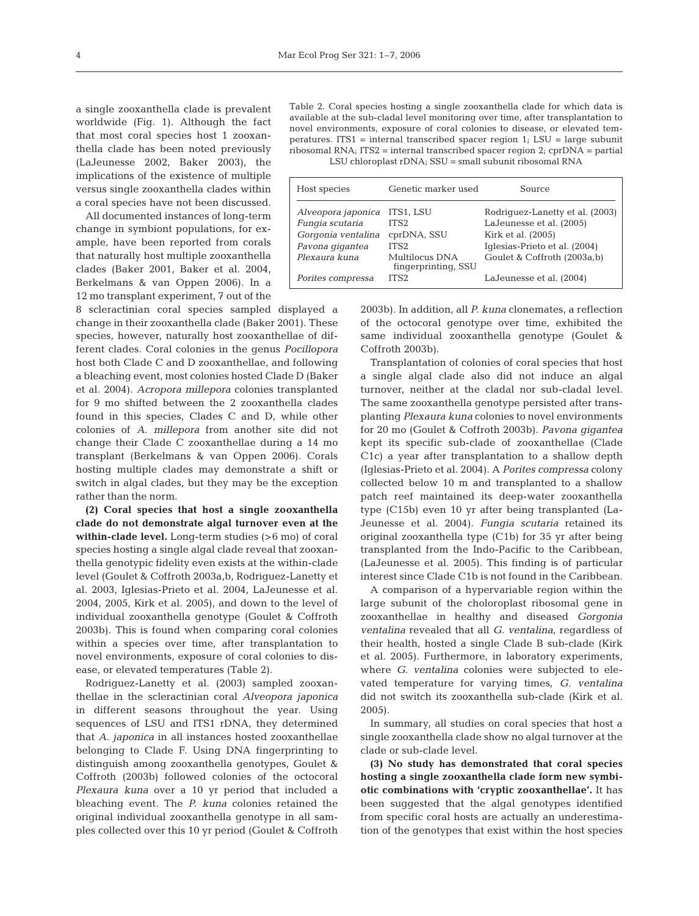a single zooxanthella clade is prevalent worldwide (Fig. 1). Although the fact that most coral species host 1 zooxanthella clade has been noted previously (LaJeunesse 2002, Baker 2003), the implications of the existence of multiple versus single zooxanthella clades within a coral species have not been discussed.

All documented instances of long-term change in symbiont populations, for example, have been reported from corals that naturally host multiple zooxanthella clades (Baker 2001, Baker et al. 2004, Berkelmans & van Oppen 2006). In a 12 mo transplant experiment, 7 out of the

8 scleractinian coral species sampled displayed a change in their zooxanthella clade (Baker 2001). These species, however, naturally host zooxanthellae of different clades. Coral colonies in the genus *Pocillopora* host both Clade C and D zooxanthellae, and following a bleaching event, most colonies hosted Clade D (Baker et al. 2004). *Acropora millepora* colonies transplanted for 9 mo shifted between the 2 zooxanthella clades found in this species, Clades C and D, while other colonies of *A. millepora* from another site did not change their Clade C zooxanthellae during a 14 mo transplant (Berkelmans & van Oppen 2006). Corals hosting multiple clades may demonstrate a shift or switch in algal clades, but they may be the exception rather than the norm.

**(2) Coral species that host a single zooxanthella clade do not demonstrate algal turnover even at the within-clade level.** Long-term studies (>6 mo) of coral species hosting a single algal clade reveal that zooxanthella genotypic fidelity even exists at the within-clade level (Goulet & Coffroth 2003a,b, Rodriguez-Lanetty et al. 2003, Iglesias-Prieto et al. 2004, LaJeunesse et al. 2004, 2005, Kirk et al. 2005), and down to the level of individual zooxanthella genotype (Goulet & Coffroth 2003b). This is found when comparing coral colonies within a species over time, after transplantation to novel environments, exposure of coral colonies to disease, or elevated temperatures (Table 2).

Rodriguez-Lanetty et al. (2003) sampled zooxanthellae in the scleractinian coral *Alveopora japonica* in different seasons throughout the year. Using sequences of LSU and ITS1 rDNA, they determined that *A. japonica* in all instances hosted zooxanthellae belonging to Clade F. Using DNA fingerprinting to distinguish among zooxanthella genotypes, Goulet & Coffroth (2003b) followed colonies of the octocoral *Plexaura kuna* over a 10 yr period that included a bleaching event. The *P. kuna* colonies retained the original individual zooxanthella genotype in all samples collected over this 10 yr period (Goulet & Coffroth

Table 2. Coral species hosting a single zooxanthella clade for which data is available at the sub-cladal level monitoring over time, after transplantation to novel environments, exposure of coral colonies to disease, or elevated temperatures. ITS1 = internal transcribed spacer region 1; LSU = large subunit ribosomal RNA; ITS2 = internal transcribed spacer region 2; cprDNA = partial LSU chloroplast rDNA; SSU = small subunit ribosomal RNA

| Host species       | Genetic marker used                   | Source                          |
|--------------------|---------------------------------------|---------------------------------|
| Alveopora japonica | ITS1, LSU                             | Rodriquez-Lanetty et al. (2003) |
| Fungia scutaria    | ITS <sub>2</sub>                      | LaJeunesse et al. (2005)        |
| Gorgonia ventalina | cprDNA, SSU                           | Kirk et al. (2005)              |
| Pavona gigantea    | ITS <sub>2</sub>                      | Iglesias-Prieto et al. (2004)   |
| Plexaura kuna      | Multilocus DNA<br>fingerprinting, SSU | Goulet & Coffroth (2003a,b)     |
| Porites compressa  | ITS <sub>2</sub>                      | LaJeunesse et al. (2004)        |

2003b). In addition, all *P. kuna* clonemates, a reflection of the octocoral genotype over time, exhibited the same individual zooxanthella genotype (Goulet & Coffroth 2003b).

Transplantation of colonies of coral species that host a single algal clade also did not induce an algal turnover, neither at the cladal nor sub-cladal level. The same zooxanthella genotype persisted after transplanting *Plexaura kuna* colonies to novel environments for 20 mo (Goulet & Coffroth 2003b). *Pavona gigantea* kept its specific sub-clade of zooxanthellae (Clade C1c) a year after transplantation to a shallow depth (Iglesias-Prieto et al. 2004). A *Porites compressa* colony collected below 10 m and transplanted to a shallow patch reef maintained its deep-water zooxanthella type (C15b) even 10 yr after being transplanted (La-Jeunesse et al. 2004). *Fungia scutaria* retained its original zooxanthella type (C1b) for 35 yr after being transplanted from the Indo-Pacific to the Caribbean, (LaJeunesse et al. 2005). This finding is of particular interest since Clade C1b is not found in the Caribbean.

A comparison of a hypervariable region within the large subunit of the choloroplast ribosomal gene in zooxanthellae in healthy and diseased *Gorgonia ventalina* revealed that all *G. ventalina*, regardless of their health, hosted a single Clade B sub-clade (Kirk et al. 2005). Furthermore, in laboratory experiments, where *G. ventalina* colonies were subjected to elevated temperature for varying times, *G. ventalina* did not switch its zooxanthella sub-clade (Kirk et al. 2005).

In summary, all studies on coral species that host a single zooxanthella clade show no algal turnover at the clade or sub-clade level.

**(3) No study has demonstrated that coral species hosting a single zooxanthella clade form new symbiotic combinations with 'cryptic zooxanthellae'.** It has been suggested that the algal genotypes identified from specific coral hosts are actually an underestimation of the genotypes that exist within the host species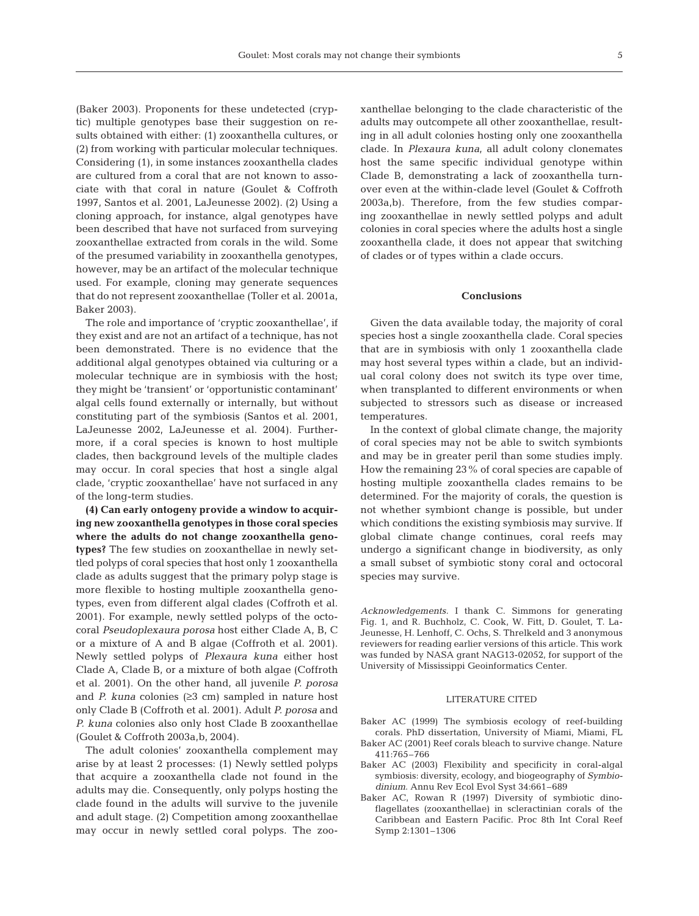(Baker 2003). Proponents for these undetected (cryptic) multiple genotypes base their suggestion on results obtained with either: (1) zooxanthella cultures, or (2) from working with particular molecular techniques. Considering (1), in some instances zooxanthella clades are cultured from a coral that are not known to associate with that coral in nature (Goulet & Coffroth 1997, Santos et al. 2001, LaJeunesse 2002). (2) Using a cloning approach, for instance, algal genotypes have been described that have not surfaced from surveying zooxanthellae extracted from corals in the wild. Some of the presumed variability in zooxanthella genotypes, however, may be an artifact of the molecular technique used. For example, cloning may generate sequences that do not represent zooxanthellae (Toller et al. 2001a, Baker 2003).

The role and importance of 'cryptic zooxanthellae', if they exist and are not an artifact of a technique, has not been demonstrated. There is no evidence that the additional algal genotypes obtained via culturing or a molecular technique are in symbiosis with the host; they might be 'transient' or 'opportunistic contaminant' algal cells found externally or internally, but without constituting part of the symbiosis (Santos et al. 2001, LaJeunesse 2002, LaJeunesse et al. 2004). Furthermore, if a coral species is known to host multiple clades, then background levels of the multiple clades may occur. In coral species that host a single algal clade, 'cryptic zooxanthellae' have not surfaced in any of the long-term studies.

**(4) Can early ontogeny provide a window to acquiring new zooxanthella genotypes in those coral species where the adults do not change zooxanthella genotypes?** The few studies on zooxanthellae in newly settled polyps of coral species that host only 1 zooxanthella clade as adults suggest that the primary polyp stage is more flexible to hosting multiple zooxanthella genotypes, even from different algal clades (Coffroth et al. 2001). For example, newly settled polyps of the octocoral *Pseudoplexaura porosa* host either Clade A, B, C or a mixture of A and B algae (Coffroth et al. 2001). Newly settled polyps of *Plexaura kuna* either host Clade A, Clade B, or a mixture of both algae (Coffroth et al. 2001). On the other hand, all juvenile *P. porosa* and *P. kuna* colonies  $(≥3$  cm) sampled in nature host only Clade B (Coffroth et al. 2001). Adult *P. porosa* and *P. kuna* colonies also only host Clade B zooxanthellae (Goulet & Coffroth 2003a,b, 2004).

The adult colonies' zooxanthella complement may arise by at least 2 processes: (1) Newly settled polyps that acquire a zooxanthella clade not found in the adults may die. Consequently, only polyps hosting the clade found in the adults will survive to the juvenile and adult stage. (2) Competition among zooxanthellae may occur in newly settled coral polyps. The zooxanthellae belonging to the clade characteristic of the adults may outcompete all other zooxanthellae, resulting in all adult colonies hosting only one zooxanthella clade. In *Plexaura kuna*, all adult colony clonemates host the same specific individual genotype within Clade B, demonstrating a lack of zooxanthella turnover even at the within-clade level (Goulet & Coffroth 2003a,b). Therefore, from the few studies comparing zooxanthellae in newly settled polyps and adult colonies in coral species where the adults host a single zooxanthella clade, it does not appear that switching of clades or of types within a clade occurs.

#### **Conclusions**

Given the data available today, the majority of coral species host a single zooxanthella clade. Coral species that are in symbiosis with only 1 zooxanthella clade may host several types within a clade, but an individual coral colony does not switch its type over time, when transplanted to different environments or when subjected to stressors such as disease or increased temperatures.

In the context of global climate change, the majority of coral species may not be able to switch symbionts and may be in greater peril than some studies imply. How the remaining 23% of coral species are capable of hosting multiple zooxanthella clades remains to be determined. For the majority of corals, the question is not whether symbiont change is possible, but under which conditions the existing symbiosis may survive. If global climate change continues, coral reefs may undergo a significant change in biodiversity, as only a small subset of symbiotic stony coral and octocoral species may survive.

*Acknowledgements.* I thank C. Simmons for generating Fig. 1, and R. Buchholz, C. Cook, W. Fitt, D. Goulet, T. La-Jeunesse, H. Lenhoff, C. Ochs, S. Threlkeld and 3 anonymous reviewers for reading earlier versions of this article. This work was funded by NASA grant NAG13-02052, for support of the University of Mississippi Geoinformatics Center.

#### LITERATURE CITED

- Baker AC (1999) The symbiosis ecology of reef-building corals. PhD dissertation, University of Miami, Miami, FL
- Baker AC (2001) Reef corals bleach to survive change. Nature 411:765–766
- Baker AC (2003) Flexibility and specificity in coral-algal symbiosis: diversity, ecology, and biogeography of *Symbiodinium*. Annu Rev Ecol Evol Syst 34:661–689
- Baker AC, Rowan R (1997) Diversity of symbiotic dinoflagellates (zooxanthellae) in scleractinian corals of the Caribbean and Eastern Pacific. Proc 8th Int Coral Reef Symp 2:1301–1306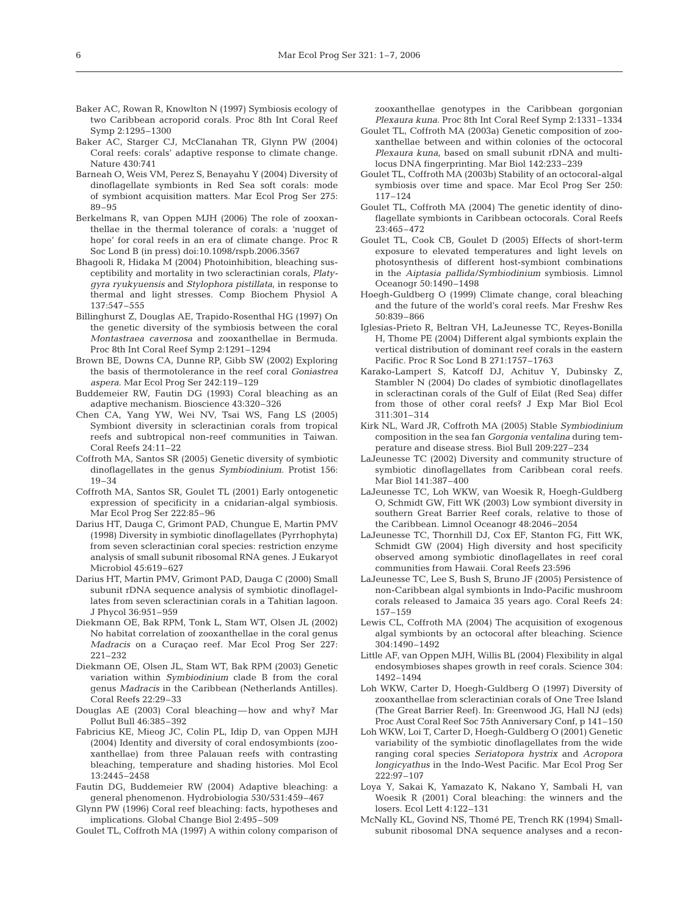- Baker AC, Rowan R, Knowlton N (1997) Symbiosis ecology of two Caribbean acroporid corals. Proc 8th Int Coral Reef Symp 2:1295–1300
- Baker AC, Starger CJ, McClanahan TR, Glynn PW (2004) Coral reefs: corals' adaptive response to climate change. Nature 430:741
- Barneah O, Weis VM, Perez S, Benayahu Y (2004) Diversity of dinoflagellate symbionts in Red Sea soft corals: mode of symbiont acquisition matters. Mar Ecol Prog Ser 275: 89–95
- Berkelmans R, van Oppen MJH (2006) The role of zooxanthellae in the thermal tolerance of corals: a 'nugget of hope' for coral reefs in an era of climate change. Proc R Soc Lond B (in press) doi:10.1098/rspb.2006.3567
- Bhagooli R, Hidaka M (2004) Photoinhibition, bleaching susceptibility and mortality in two scleractinian corals, *Platygyra ryukyuensis* and *Stylophora pistillata*, in response to thermal and light stresses. Comp Biochem Physiol A 137:547–555
- Billinghurst Z, Douglas AE, Trapido-Rosenthal HG (1997) On the genetic diversity of the symbiosis between the coral *Montastraea cavernosa* and zooxanthellae in Bermuda. Proc 8th Int Coral Reef Symp 2:1291–1294
- Brown BE, Downs CA, Dunne RP, Gibb SW (2002) Exploring the basis of thermotolerance in the reef coral *Goniastrea aspera*. Mar Ecol Prog Ser 242:119–129
- Buddemeier RW, Fautin DG (1993) Coral bleaching as an adaptive mechanism. Bioscience 43:320–326
- Chen CA, Yang YW, Wei NV, Tsai WS, Fang LS (2005) Symbiont diversity in scleractinian corals from tropical reefs and subtropical non-reef communities in Taiwan. Coral Reefs 24:11–22
- Coffroth MA, Santos SR (2005) Genetic diversity of symbiotic dinoflagellates in the genus *Symbiodinium*. Protist 156: 19–34
- Coffroth MA, Santos SR, Goulet TL (2001) Early ontogenetic expression of specificity in a cnidarian-algal symbiosis. Mar Ecol Prog Ser 222:85–96
- Darius HT, Dauga C, Grimont PAD, Chungue E, Martin PMV (1998) Diversity in symbiotic dinoflagellates (Pyrrhophyta) from seven scleractinian coral species: restriction enzyme analysis of small subunit ribosomal RNA genes. J Eukaryot Microbiol 45:619–627
- Darius HT, Martin PMV, Grimont PAD, Dauga C (2000) Small subunit rDNA sequence analysis of symbiotic dinoflagellates from seven scleractinian corals in a Tahitian lagoon. J Phycol 36:951–959
- Diekmann OE, Bak RPM, Tonk L, Stam WT, Olsen JL (2002) No habitat correlation of zooxanthellae in the coral genus *Madracis* on a Curaçao reef. Mar Ecol Prog Ser 227: 221–232
- Diekmann OE, Olsen JL, Stam WT, Bak RPM (2003) Genetic variation within *Symbiodinium* clade B from the coral genus *Madracis* in the Caribbean (Netherlands Antilles). Coral Reefs 22:29–33
- Douglas AE (2003) Coral bleaching—how and why? Mar Pollut Bull 46:385–392
- Fabricius KE, Mieog JC, Colin PL, Idip D, van Oppen MJH (2004) Identity and diversity of coral endosymbionts (zooxanthellae) from three Palauan reefs with contrasting bleaching, temperature and shading histories. Mol Ecol 13:2445–2458
- Fautin DG, Buddemeier RW (2004) Adaptive bleaching: a general phenomenon. Hydrobiologia 530/531:459–467
- Glynn PW (1996) Coral reef bleaching: facts, hypotheses and implications. Global Change Biol 2:495–509
- Goulet TL, Coffroth MA (1997) A within colony comparison of

zooxanthellae genotypes in the Caribbean gorgonian *Plexaura kuna*. Proc 8th Int Coral Reef Symp 2:1331–1334

- Goulet TL, Coffroth MA (2003a) Genetic composition of zooxanthellae between and within colonies of the octocoral *Plexaura kuna*, based on small subunit rDNA and multilocus DNA fingerprinting. Mar Biol 142:233–239
- Goulet TL, Coffroth MA (2003b) Stability of an octocoral-algal symbiosis over time and space. Mar Ecol Prog Ser 250: 117–124
- Goulet TL, Coffroth MA (2004) The genetic identity of dinoflagellate symbionts in Caribbean octocorals. Coral Reefs 23:465–472
- Goulet TL, Cook CB, Goulet D (2005) Effects of short-term exposure to elevated temperatures and light levels on photosynthesis of different host-symbiont combinations in the *Aiptasia pallida*/*Symbiodinium* symbiosis. Limnol Oceanogr 50:1490–1498
- Hoegh-Guldberg O (1999) Climate change, coral bleaching and the future of the world's coral reefs. Mar Freshw Res 50:839–866
- Iglesias-Prieto R, Beltran VH, LaJeunesse TC, Reyes-Bonilla H, Thome PE (2004) Different algal symbionts explain the vertical distribution of dominant reef corals in the eastern Pacific. Proc R Soc Lond B 271:1757–1763
- Karako-Lampert S, Katcoff DJ, Achituv Y, Dubinsky Z, Stambler N (2004) Do clades of symbiotic dinoflagellates in scleractinan corals of the Gulf of Eilat (Red Sea) differ from those of other coral reefs? J Exp Mar Biol Ecol 311:301–314
- Kirk NL, Ward JR, Coffroth MA (2005) Stable *Symbiodinium* composition in the sea fan *Gorgonia ventalina* during temperature and disease stress. Biol Bull 209:227–234
- LaJeunesse TC (2002) Diversity and community structure of symbiotic dinoflagellates from Caribbean coral reefs. Mar Biol 141:387–400
- LaJeunesse TC, Loh WKW, van Woesik R, Hoegh-Guldberg O, Schmidt GW, Fitt WK (2003) Low symbiont diversity in southern Great Barrier Reef corals, relative to those of the Caribbean. Limnol Oceanogr 48:2046–2054
- LaJeunesse TC, Thornhill DJ, Cox EF, Stanton FG, Fitt WK, Schmidt GW (2004) High diversity and host specificity observed among symbiotic dinoflagellates in reef coral communities from Hawaii. Coral Reefs 23:596
- LaJeunesse TC, Lee S, Bush S, Bruno JF (2005) Persistence of non-Caribbean algal symbionts in Indo-Pacific mushroom corals released to Jamaica 35 years ago. Coral Reefs 24: 157–159
- Lewis CL, Coffroth MA (2004) The acquisition of exogenous algal symbionts by an octocoral after bleaching. Science 304:1490–1492
- Little AF, van Oppen MJH, Willis BL (2004) Flexibility in algal endosymbioses shapes growth in reef corals. Science 304: 1492–1494
- Loh WKW, Carter D, Hoegh-Guldberg O (1997) Diversity of zooxanthellae from scleractinian corals of One Tree Island (The Great Barrier Reef). In: Greenwood JG, Hall NJ (eds) Proc Aust Coral Reef Soc 75th Anniversary Conf, p 141–150
- Loh WKW, Loi T, Carter D, Hoegh-Guldberg O (2001) Genetic variability of the symbiotic dinoflagellates from the wide ranging coral species *Seriatopora hystrix* and *Acropora longicyathus* in the Indo-West Pacific. Mar Ecol Prog Ser 222:97–107
- Loya Y, Sakai K, Yamazato K, Nakano Y, Sambali H, van Woesik R (2001) Coral bleaching: the winners and the losers. Ecol Lett 4:122–131
- McNally KL, Govind NS, Thomé PE, Trench RK (1994) Smallsubunit ribosomal DNA sequence analyses and a recon-